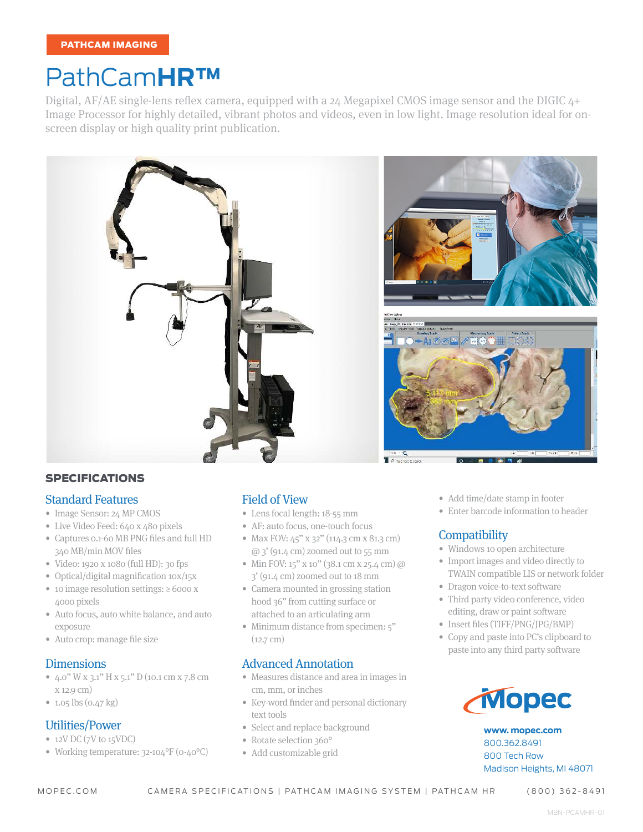## PathCam**HR™**

Digital, AF/AE single-lens reflex camera, equipped with a 24 Megapixel CMOS image sensor and the DIGIC  $4+$ Image Processor for highly detailed, vibrant photos and videos, even in low light. Image resolution ideal for onscreen display or high quality print publication.



#### SPECIFICATIONS

#### Standard Features

- Image Sensor: 24 MP CMOS
- Live Video Feed: 640 x 480 pixels
- Captures 0.1-60 MB PNG files and full HD 340 MB/min MOV files
- Video: 1920 x 1080 (full HD): 30 fps
- Optical/digital magnification 10x/15x
- 10 image resolution settings: ≥ 6000 x 4000 pixels
- Auto focus, auto white balance, and auto exposure
- Auto crop: manage file size

#### **Dimensions**

- 4.0" W x 3.1" H x 5.1" D (10.1 cm x 7.8 cm x 12.9 cm)
- 1.05 lbs (0.47 kg)

#### Utilities/Power

- $\bullet$  12V DC (7V to 15VDC)
- Working temperature: 32-104°F (0-40°C)

## Field of View

- Lens focal length: 18-55 mm
- AF: auto focus, one-touch focus
- Max FOV: 45" x 32" (114.3 cm x 81.3 cm)  $\omega$  3' (91.4 cm) zoomed out to 55 mm
- Min FOV: 15" x 10" (38.1 cm x 25.4 cm) @ 3' (91.4 cm) zoomed out to 18 mm
- Camera mounted in grossing station hood 36" from cutting surface or attached to an articulating arm
- Minimum distance from specimen: 5" (12.7 cm)

#### Advanced Annotation

- Measures distance and area in images in cm, mm, or inches
- Key-word finder and personal dictionary text tools
- Select and replace background
- Rotate selection 360° • Add customizable grid



• Enter barcode information to header

## **Compatibility**

- Windows 10 open architecture
- Import images and video directly to TWAIN compatible LIS or network folder
- Dragon voice-to-text software
- Third party video conference, video editing, draw or paint software
- Insert files (TIFF/PNG/JPG/BMP)
- Copy and paste into PC's clipboard to paste into any third party software



**www. mopec.com** 800.362.8491 800 Tech Row Madison Heights, MI 48071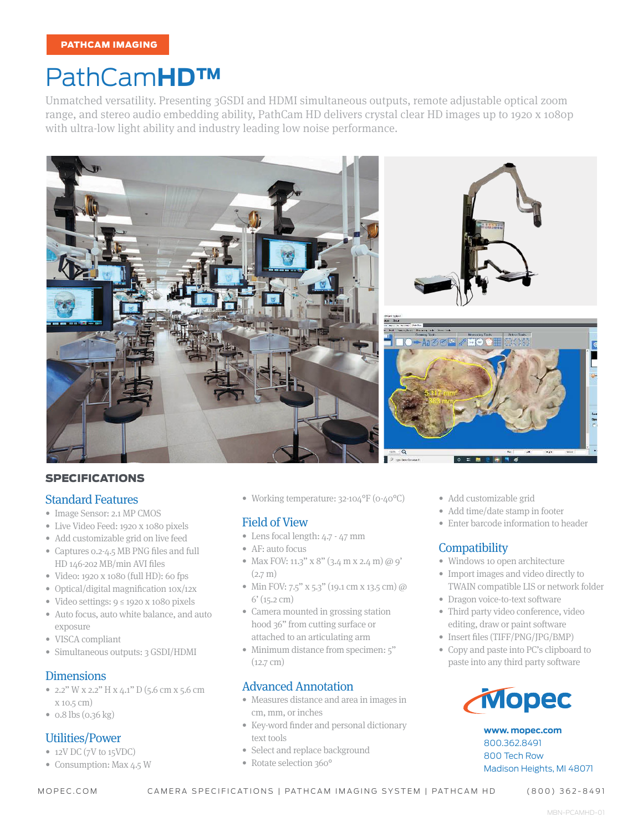# PathCam**HD™**

Unmatched versatility. Presenting 3GSDI and HDMI simultaneous outputs, remote adjustable optical zoom range, and stereo audio embedding ability, PathCam HD delivers crystal clear HD images up to 1920 x 1080p with ultra-low light ability and industry leading low noise performance.



#### SPECIFICATIONS

## Standard Features

- Image Sensor: 2.1 MP CMOS
- Live Video Feed: 1920 x 1080 pixels
- Add customizable grid on live feed
- Captures 0.2-4.5 MB PNG files and full HD 146-202 MB/min AVI files
- Video: 1920 x 1080 (full HD): 60 fps
- Optical/digital magnification 10x/12x
- Video settings: 9 ≤ 1920 x 1080 pixels
- Auto focus, auto white balance, and auto exposure
- VISCA compliant
- Simultaneous outputs: 3 GSDI/HDMI

## **Dimensions**

- 2.2" W x 2.2" H x 4.1" D (5.6 cm x 5.6 cm x 10.5 cm)
- 0.8 lbs (0.36 kg)

## Utilities/Power

- 12V DC (7V to 15VDC)
- Consumption: Max 4.5 W

• Working temperature: 32-104°F (0-40°C)

#### Field of View

- Lens focal length: 4.7 47 mm
- AF: auto focus
- Max FOV: 11.3" x 8" (3.4 m x 2.4 m) @ 9'  $(2.7 m)$
- Min FOV: 7.5" x 5.3" (19.1 cm x 13.5 cm) @  $6'(15.2 \text{ cm})$
- Camera mounted in grossing station hood 36" from cutting surface or attached to an articulating arm
- Minimum distance from specimen: 5"  $(12.7 \text{ cm})$

## Advanced Annotation

- Measures distance and area in images in cm, mm, or inches
- Key-word finder and personal dictionary text tools
- Select and replace background
- Rotate selection 360°
- Add customizable grid
- Add time/date stamp in footer
- Enter barcode information to header

## **Compatibility**

- Windows 10 open architecture
- Import images and video directly to TWAIN compatible LIS or network folder
- Dragon voice-to-text software
- Third party video conference, video editing, draw or paint software
- Insert files (TIFF/PNG/JPG/BMP)
- Copy and paste into PC's clipboard to paste into any third party software



**www. mopec.com** 800.362.8491 800 Tech Row Madison Heights, MI 48071